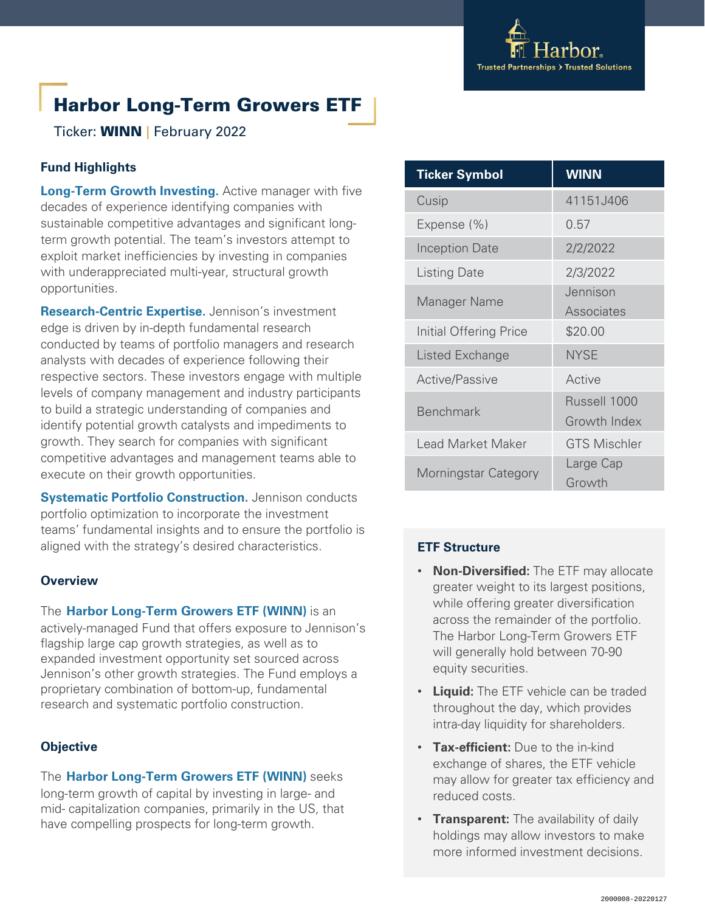

# Harbor Long-Term Growers ETF

Ticker: WINN **|** February 2022

# **Fund Highlights**

**Long-Term Growth Investing.** Active manager with five decades of experience identifying companies with sustainable competitive advantages and significant longterm growth potential. The team's investors attempt to exploit market inefficiencies by investing in companies with underappreciated multi-year, structural growth opportunities.

**Research-Centric Expertise.** Jennison's investment edge is driven by in-depth fundamental research conducted by teams of portfolio managers and research analysts with decades of experience following their respective sectors. These investors engage with multiple levels of company management and industry participants to build a strategic understanding of companies and identify potential growth catalysts and impediments to growth. They search for companies with significant competitive advantages and management teams able to execute on their growth opportunities.

**Systematic Portfolio Construction.** Jennison conducts portfolio optimization to incorporate the investment teams' fundamental insights and to ensure the portfolio is aligned with the strategy's desired characteristics.

#### **Overview**

The **Harbor Long-Term Growers ETF (WINN)** is an actively-managed Fund that offers exposure to Jennison's flagship large cap growth strategies, as well as to expanded investment opportunity set sourced across Jennison's other growth strategies. The Fund employs a proprietary combination of bottom-up, fundamental research and systematic portfolio construction.

# **Objective**

The **Harbor Long-Term Growers ETF (WINN)** seeks long-term growth of capital by investing in large- and mid- capitalization companies, primarily in the US, that have compelling prospects for long-term growth.

| <b>Ticker Symbol</b>   | <b>WINN</b>         |
|------------------------|---------------------|
| Cusip                  | 41151J406           |
| Expense (%)            | 0.57                |
| <b>Inception Date</b>  | 2/2/2022            |
| <b>Listing Date</b>    | 2/3/2022            |
| Manager Name           | Jennison            |
|                        | Associates          |
| Initial Offering Price | \$20.00             |
| Listed Exchange        | <b>NYSE</b>         |
| <b>Active/Passive</b>  | Active              |
| <b>Benchmark</b>       | Russell 1000        |
|                        | Growth Index        |
| Lead Market Maker      | <b>GTS Mischler</b> |
| Morningstar Category   | Large Cap           |
|                        | Growth              |

# **ETF Structure**

- **Non-Diversified:** The ETF may allocate greater weight to its largest positions, while offering greater diversification across the remainder of the portfolio. The Harbor Long-Term Growers ETF will generally hold between 70-90 equity securities.
- **Liquid:** The ETF vehicle can be traded throughout the day, which provides intra-day liquidity for shareholders.
- **Tax-efficient:** Due to the in-kind exchange of shares, the ETF vehicle may allow for greater tax efficiency and reduced costs.
- **Transparent:** The availability of daily holdings may allow investors to make more informed investment decisions.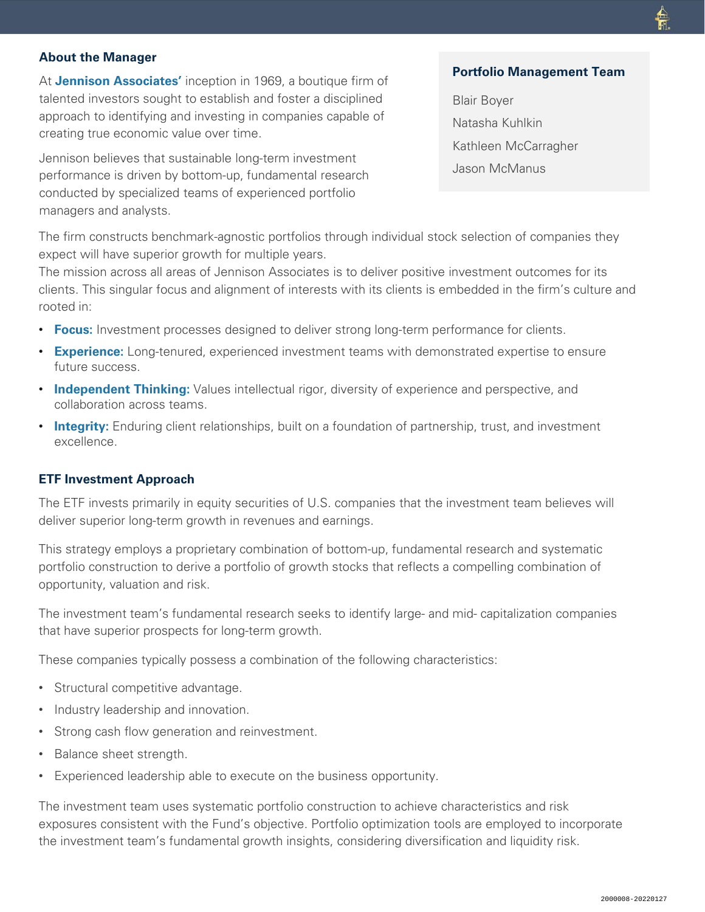## **About the Manager**

At **Jennison Associates'** inception in 1969, a boutique firm of talented investors sought to establish and foster a disciplined approach to identifying and investing in companies capable of creating true economic value over time.

Jennison believes that sustainable long-term investment performance is driven by bottom-up, fundamental research conducted by specialized teams of experienced portfolio managers and analysts.

#### **Portfolio Management Team**

Blair Boyer Natasha Kuhlkin Kathleen McCarragher Jason McManus

The firm constructs benchmark-agnostic portfolios through individual stock selection of companies they expect will have superior growth for multiple years.

The mission across all areas of Jennison Associates is to deliver positive investment outcomes for its clients. This singular focus and alignment of interests with its clients is embedded in the firm's culture and rooted in:

- **Focus:** Investment processes designed to deliver strong long-term performance for clients.
- **Experience:** Long-tenured, experienced investment teams with demonstrated expertise to ensure future success.
- **Independent Thinking:** Values intellectual rigor, diversity of experience and perspective, and collaboration across teams.
- **Integrity:** Enduring client relationships, built on a foundation of partnership, trust, and investment excellence.

#### **ETF Investment Approach**

The ETF invests primarily in equity securities of U.S. companies that the investment team believes will deliver superior long-term growth in revenues and earnings.

This strategy employs a proprietary combination of bottom-up, fundamental research and systematic portfolio construction to derive a portfolio of growth stocks that reflects a compelling combination of opportunity, valuation and risk.

The investment team's fundamental research seeks to identify large- and mid- capitalization companies that have superior prospects for long-term growth.

These companies typically possess a combination of the following characteristics:

- Structural competitive advantage.
- Industry leadership and innovation.
- Strong cash flow generation and reinvestment.
- Balance sheet strength.
- Experienced leadership able to execute on the business opportunity.

The investment team uses systematic portfolio construction to achieve characteristics and risk exposures consistent with the Fund's objective. Portfolio optimization tools are employed to incorporate the investment team's fundamental growth insights, considering diversification and liquidity risk.